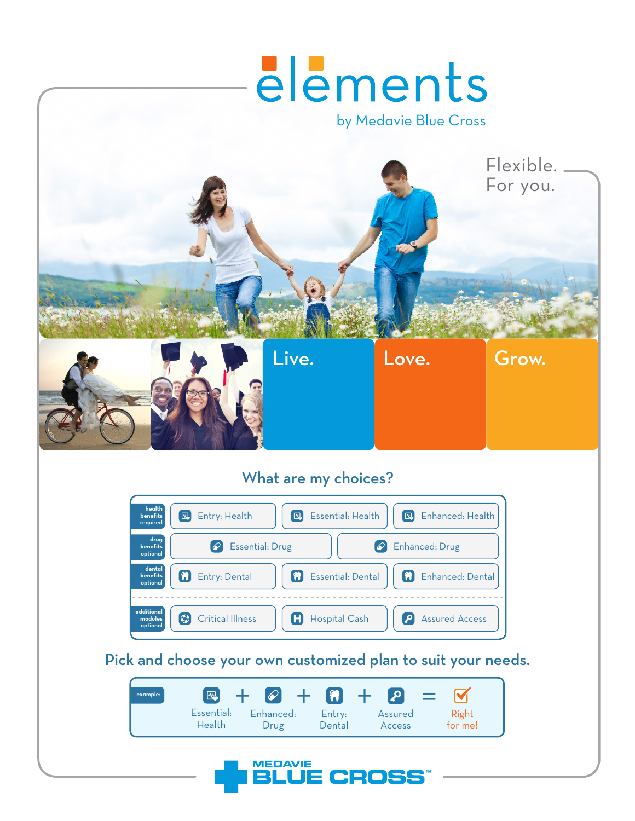